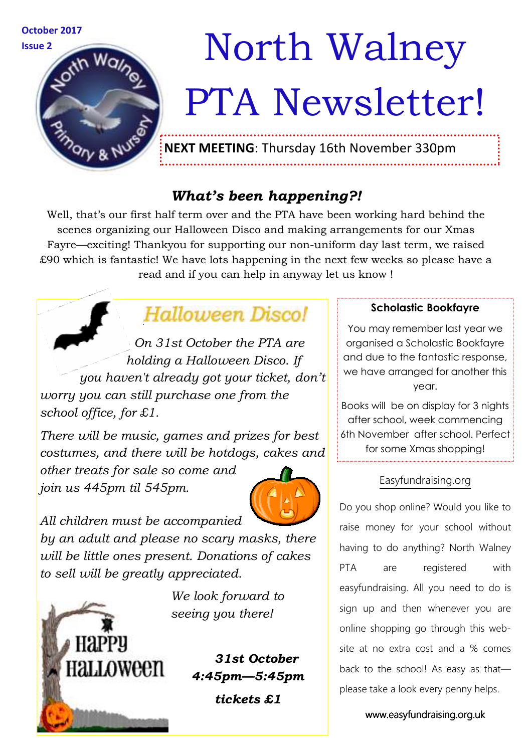

# Issue 2 **Movement Walney** PTA Newsletter!

**NEXT MEETING**: Thursday 16th November 330pm

## *What's been happening?!*

Well, that's our first half term over and the PTA have been working hard behind the scenes organizing our Halloween Disco and making arrangements for our Xmas Fayre—exciting! Thankyou for supporting our non-uniform day last term, we raised £90 which is fantastic! We have lots happening in the next few weeks so please have a read and if you can help in anyway let us know !

# Halloween Discol

*On 31st October the PTA are holding a Halloween Disco. If you haven't already got your ticket, don't worry you can still purchase one from the school office, for £1.* 

*There will be music, games and prizes for best costumes, and there will be hotdogs, cakes and* 

*other treats for sale so come and join us 445pm til 545pm.* 



*All children must be accompanied by an adult and please no scary masks, there will be little ones present. Donations of cakes to sell will be greatly appreciated.* 

**HAPPU** Halloween

*We look forward to seeing you there!* 

### *31st October 4:45pm—5:45pm*

*tickets £1* 

#### **Scholastic Bookfayre**

You may remember last year we organised a Scholastic Bookfayre and due to the fantastic response, we have arranged for another this year.

Books will be on display for 3 nights after school, week commencing 6th November after school. Perfect for some Xmas shopping!

#### Easyfundraising.org

Do you shop online? Would you like to raise money for your school without having to do anything? North Walney PTA are registered with easyfundraising. All you need to do is sign up and then whenever you are online shopping go through this website at no extra cost and a % comes back to the school! As easy as that please take a look every penny helps.

www.easyfundraising.org.uk www.easyfundraising.org.uk